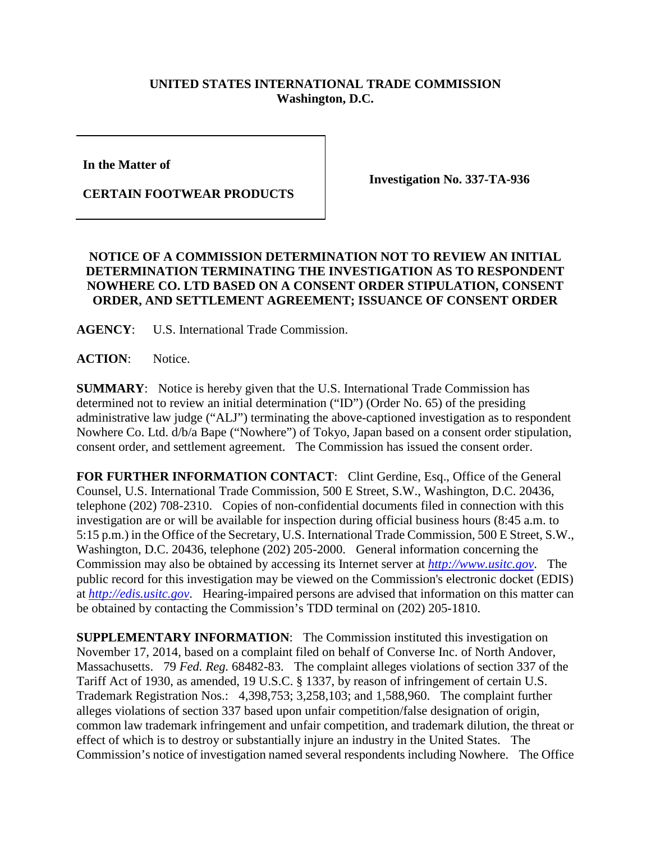## **UNITED STATES INTERNATIONAL TRADE COMMISSION Washington, D.C.**

**In the Matter of** 

**CERTAIN FOOTWEAR PRODUCTS**

**Investigation No. 337-TA-936**

## **NOTICE OF A COMMISSION DETERMINATION NOT TO REVIEW AN INITIAL DETERMINATION TERMINATING THE INVESTIGATION AS TO RESPONDENT NOWHERE CO. LTD BASED ON A CONSENT ORDER STIPULATION, CONSENT ORDER, AND SETTLEMENT AGREEMENT; ISSUANCE OF CONSENT ORDER**

**AGENCY**: U.S. International Trade Commission.

**ACTION**: Notice.

**SUMMARY**: Notice is hereby given that the U.S. International Trade Commission has determined not to review an initial determination ("ID") (Order No. 65) of the presiding administrative law judge ("ALJ") terminating the above-captioned investigation as to respondent Nowhere Co. Ltd. d/b/a Bape ("Nowhere") of Tokyo, Japan based on a consent order stipulation, consent order, and settlement agreement. The Commission has issued the consent order.

**FOR FURTHER INFORMATION CONTACT**: Clint Gerdine, Esq., Office of the General Counsel, U.S. International Trade Commission, 500 E Street, S.W., Washington, D.C. 20436, telephone (202) 708-2310. Copies of non-confidential documents filed in connection with this investigation are or will be available for inspection during official business hours (8:45 a.m. to 5:15 p.m.) in the Office of the Secretary, U.S. International Trade Commission, 500 E Street, S.W., Washington, D.C. 20436, telephone (202) 205-2000. General information concerning the Commission may also be obtained by accessing its Internet server at *[http://www.usitc.gov](http://www.usitc.gov/)*. The public record for this investigation may be viewed on the Commission's electronic docket (EDIS) at *[http://edis.usitc.gov](http://edis.usitc.gov/)*. Hearing-impaired persons are advised that information on this matter can be obtained by contacting the Commission's TDD terminal on (202) 205-1810.

**SUPPLEMENTARY INFORMATION**: The Commission instituted this investigation on November 17, 2014, based on a complaint filed on behalf of Converse Inc. of North Andover, Massachusetts. 79 *Fed. Reg.* 68482-83. The complaint alleges violations of section 337 of the Tariff Act of 1930, as amended, 19 U.S.C. § 1337, by reason of infringement of certain U.S. Trademark Registration Nos.: 4,398,753; 3,258,103; and 1,588,960. The complaint further alleges violations of section 337 based upon unfair competition/false designation of origin, common law trademark infringement and unfair competition, and trademark dilution, the threat or effect of which is to destroy or substantially injure an industry in the United States. The Commission's notice of investigation named several respondents including Nowhere. The Office